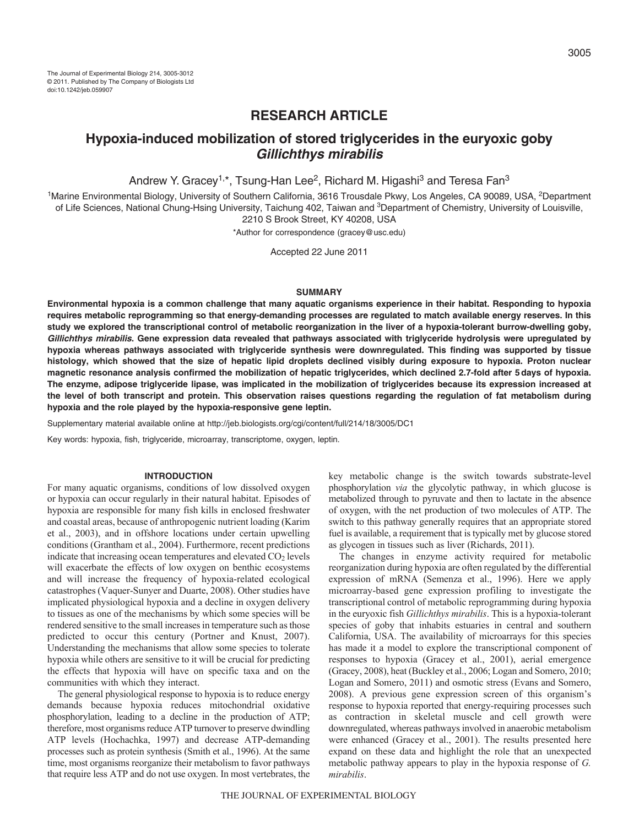# **RESEARCH ARTICLE**

# **Hypoxia-induced mobilization of stored triglycerides in the euryoxic goby Gillichthys mirabilis**

Andrew Y. Gracey<sup>1,\*</sup>, Tsung-Han Lee<sup>2</sup>, Richard M. Higashi<sup>3</sup> and Teresa Fan<sup>3</sup>

<sup>1</sup>Marine Environmental Biology, University of Southern California, 3616 Trousdale Pkwy, Los Angeles, CA 90089, USA, <sup>2</sup>Department of Life Sciences, National Chung-Hsing University, Taichung 402, Taiwan and <sup>3</sup>Department of Chemistry, University of Louisville, 2210 S Brook Street, KY 40208, USA

\*Author for correspondence (gracey@usc.edu)

Accepted 22 June 2011

# **SUMMARY**

**Environmental hypoxia is a common challenge that many aquatic organisms experience in their habitat. Responding to hypoxia requires metabolic reprogramming so that energy-demanding processes are regulated to match available energy reserves. In this study we explored the transcriptional control of metabolic reorganization in the liver of a hypoxia-tolerant burrow-dwelling goby, Gillichthys mirabilis. Gene expression data revealed that pathways associated with triglyceride hydrolysis were upregulated by hypoxia whereas pathways associated with triglyceride synthesis were downregulated. This finding was supported by tissue histology, which showed that the size of hepatic lipid droplets declined visibly during exposure to hypoxia. Proton nuclear magnetic resonance analysis confirmed the mobilization of hepatic triglycerides, which declined 2.7-fold after 5days of hypoxia. The enzyme, adipose triglyceride lipase, was implicated in the mobilization of triglycerides because its expression increased at the level of both transcript and protein. This observation raises questions regarding the regulation of fat metabolism during hypoxia and the role played by the hypoxia-responsive gene leptin.**

Supplementary material available online at http://jeb.biologists.org/cgi/content/full/214/18/3005/DC1

Key words: hypoxia, fish, triglyceride, microarray, transcriptome, oxygen, leptin.

#### **INTRODUCTION**

For many aquatic organisms, conditions of low dissolved oxygen or hypoxia can occur regularly in their natural habitat. Episodes of hypoxia are responsible for many fish kills in enclosed freshwater and coastal areas, because of anthropogenic nutrient loading (Karim et al., 2003), and in offshore locations under certain upwelling conditions (Grantham et al., 2004). Furthermore, recent predictions indicate that increasing ocean temperatures and elevated  $CO<sub>2</sub>$  levels will exacerbate the effects of low oxygen on benthic ecosystems and will increase the frequency of hypoxia-related ecological catastrophes (Vaquer-Sunyer and Duarte, 2008). Other studies have implicated physiological hypoxia and a decline in oxygen delivery to tissues as one of the mechanisms by which some species will be rendered sensitive to the small increases in temperature such as those predicted to occur this century (Portner and Knust, 2007). Understanding the mechanisms that allow some species to tolerate hypoxia while others are sensitive to it will be crucial for predicting the effects that hypoxia will have on specific taxa and on the communities with which they interact.

The general physiological response to hypoxia is to reduce energy demands because hypoxia reduces mitochondrial oxidative phosphorylation, leading to a decline in the production of ATP; therefore, most organisms reduce ATP turnover to preserve dwindling ATP levels (Hochachka, 1997) and decrease ATP-demanding processes such as protein synthesis (Smith et al., 1996). At the same time, most organisms reorganize their metabolism to favor pathways that require less ATP and do not use oxygen. In most vertebrates, the

key metabolic change is the switch towards substrate-level phosphorylation *via* the glycolytic pathway, in which glucose is metabolized through to pyruvate and then to lactate in the absence of oxygen, with the net production of two molecules of ATP. The switch to this pathway generally requires that an appropriate stored fuel is available, a requirement that is typically met by glucose stored as glycogen in tissues such as liver (Richards, 2011).

The changes in enzyme activity required for metabolic reorganization during hypoxia are often regulated by the differential expression of mRNA (Semenza et al., 1996). Here we apply microarray-based gene expression profiling to investigate the transcriptional control of metabolic reprogramming during hypoxia in the euryoxic fish *Gillichthys mirabilis*. This is a hypoxia-tolerant species of goby that inhabits estuaries in central and southern California, USA. The availability of microarrays for this species has made it a model to explore the transcriptional component of responses to hypoxia (Gracey et al., 2001), aerial emergence (Gracey, 2008), heat (Buckley et al., 2006; Logan and Somero, 2010; Logan and Somero, 2011) and osmotic stress (Evans and Somero, 2008). A previous gene expression screen of this organism's response to hypoxia reported that energy-requiring processes such as contraction in skeletal muscle and cell growth were downregulated, whereas pathways involved in anaerobic metabolism were enhanced (Gracey et al., 2001). The results presented here expand on these data and highlight the role that an unexpected metabolic pathway appears to play in the hypoxia response of *G. mirabilis*.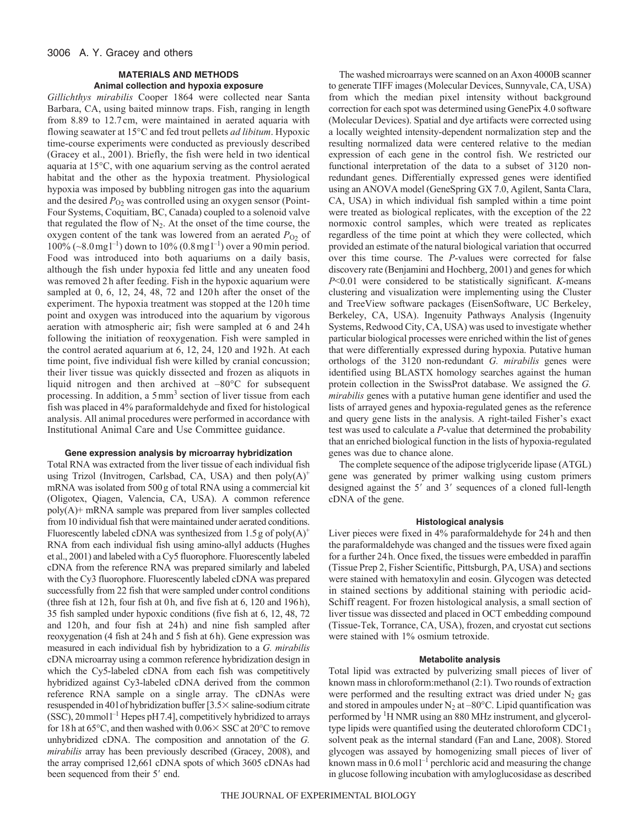# **MATERIALS AND METHODS Animal collection and hypoxia exposure**

*Gillichthys mirabilis* Cooper 1864 were collected near Santa Barbara, CA, using baited minnow traps. Fish, ranging in length from 8.89 to 12.7 cm, were maintained in aerated aquaria with flowing seawater at 15°C and fed trout pellets *ad libitum*. Hypoxic time-course experiments were conducted as previously described (Gracey et al., 2001). Briefly, the fish were held in two identical aquaria at 15°C, with one aquarium serving as the control aerated habitat and the other as the hypoxia treatment. Physiological hypoxia was imposed by bubbling nitrogen gas into the aquarium and the desired  $P_{O2}$  was controlled using an oxygen sensor (Point-Four Systems, Coquitiam, BC, Canada) coupled to a solenoid valve that regulated the flow of  $N_2$ . At the onset of the time course, the oxygen content of the tank was lowered from an aerated  $P_{O2}$  of  $100\%$  (~8.0 mg l<sup>-1</sup>) down to 10% (0.8 mg l<sup>-1</sup>) over a 90 min period. Food was introduced into both aquariums on a daily basis, although the fish under hypoxia fed little and any uneaten food was removed 2 h after feeding. Fish in the hypoxic aquarium were sampled at 0, 6, 12, 24, 48, 72 and 120h after the onset of the experiment. The hypoxia treatment was stopped at the 120h time point and oxygen was introduced into the aquarium by vigorous aeration with atmospheric air; fish were sampled at 6 and 24h following the initiation of reoxygenation. Fish were sampled in the control aerated aquarium at 6, 12, 24, 120 and 192h. At each time point, five individual fish were killed by cranial concussion; their liver tissue was quickly dissected and frozen as aliquots in liquid nitrogen and then archived at –80°C for subsequent processing. In addition, a 5 mm<sup>3</sup> section of liver tissue from each fish was placed in 4% paraformaldehyde and fixed for histological analysis. All animal procedures were performed in accordance with Institutional Animal Care and Use Committee guidance.

### **Gene expression analysis by microarray hybridization**

Total RNA was extracted from the liver tissue of each individual fish using Trizol (Invitrogen, Carlsbad, CA, USA) and then  $poly(A)^+$ mRNA was isolated from 500g of total RNA using a commercial kit (Oligotex, Qiagen, Valencia, CA, USA). A common reference poly(A)+ mRNA sample was prepared from liver samples collected from 10 individual fish that were maintained under aerated conditions. Fluorescently labeled cDNA was synthesized from  $1.5$  g of poly(A)<sup>+</sup> RNA from each individual fish using amino-allyl adducts (Hughes et al., 2001) and labeled with a Cy5 fluorophore. Fluorescently labeled cDNA from the reference RNA was prepared similarly and labeled with the Cy3 fluorophore. Fluorescently labeled cDNA was prepared successfully from 22 fish that were sampled under control conditions (three fish at 12h, four fish at 0h, and five fish at 6, 120 and 196h), 35 fish sampled under hypoxic conditions (five fish at 6, 12, 48, 72 and 120 h, and four fish at 24h) and nine fish sampled after reoxygenation (4 fish at 24h and 5 fish at 6h). Gene expression was measured in each individual fish by hybridization to a *G. mirabilis* cDNA microarray using a common reference hybridization design in which the Cy5-labeled cDNA from each fish was competitively hybridized against Cy3-labeled cDNA derived from the common reference RNA sample on a single array. The cDNAs were resuspended in 401 of hybridization buffer [3.5 x saline-sodium citrate  $(SSC)$ , 20 mmol<sup>1-1</sup> Hepes pH 7.4], competitively hybridized to arrays for 18 h at 65 $^{\circ}$ C, and then washed with  $0.06 \times$  SSC at 20 $^{\circ}$ C to remove unhybridized cDNA. The composition and annotation of the *G. mirabilis* array has been previously described (Gracey, 2008), and the array comprised 12,661 cDNA spots of which 3605 cDNAs had been sequenced from their 5' end.

The washed microarrays were scanned on an Axon 4000B scanner to generate TIFF images (Molecular Devices, Sunnyvale, CA, USA) from which the median pixel intensity without background correction for each spot was determined using GenePix 4.0 software (Molecular Devices). Spatial and dye artifacts were corrected using a locally weighted intensity-dependent normalization step and the resulting normalized data were centered relative to the median expression of each gene in the control fish. We restricted our functional interpretation of the data to a subset of 3120 nonredundant genes. Differentially expressed genes were identified using an ANOVA model (GeneSpring GX 7.0, Agilent, Santa Clara, CA, USA) in which individual fish sampled within a time point were treated as biological replicates, with the exception of the 22 normoxic control samples, which were treated as replicates regardless of the time point at which they were collected, which provided an estimate of the natural biological variation that occurred over this time course. The *P*-values were corrected for false discovery rate (Benjamini and Hochberg, 2001) and genes for which *P*<0.01 were considered to be statistically significant. *K*-means clustering and visualization were implementing using the Cluster and TreeView software packages (EisenSoftware, UC Berkeley, Berkeley, CA, USA). Ingenuity Pathways Analysis (Ingenuity Systems, Redwood City, CA, USA) was used to investigate whether particular biological processes were enriched within the list of genes that were differentially expressed during hypoxia. Putative human orthologs of the 3120 non-redundant *G. mirabilis* genes were identified using BLASTX homology searches against the human protein collection in the SwissProt database. We assigned the *G. mirabilis* genes with a putative human gene identifier and used the lists of arrayed genes and hypoxia-regulated genes as the reference and query gene lists in the analysis. A right-tailed Fisher's exact test was used to calculate a *P*-value that determined the probability that an enriched biological function in the lists of hypoxia-regulated genes was due to chance alone.

The complete sequence of the adipose triglyceride lipase (ATGL) gene was generated by primer walking using custom primers designed against the  $5'$  and  $3'$  sequences of a cloned full-length cDNA of the gene.

### **Histological analysis**

Liver pieces were fixed in 4% paraformaldehyde for 24h and then the paraformaldehyde was changed and the tissues were fixed again for a further 24h. Once fixed, the tissues were embedded in paraffin (Tissue Prep 2, Fisher Scientific, Pittsburgh, PA, USA) and sections were stained with hematoxylin and eosin. Glycogen was detected in stained sections by additional staining with periodic acid-Schiff reagent. For frozen histological analysis, a small section of liver tissue was dissected and placed in OCT embedding compound (Tissue-Tek, Torrance, CA, USA), frozen, and cryostat cut sections were stained with 1% osmium tetroxide.

#### **Metabolite analysis**

Total lipid was extracted by pulverizing small pieces of liver of known mass in chloroform:methanol (2:1). Two rounds of extraction were performed and the resulting extract was dried under  $N_2$  gas and stored in ampoules under  $N_2$  at  $-80^{\circ}$ C. Lipid quantification was performed by <sup>1</sup>H NMR using an 880 MHz instrument, and glyceroltype lipids were quantified using the deuterated chloroform CDC13 solvent peak as the internal standard (Fan and Lane, 2008). Stored glycogen was assayed by homogenizing small pieces of liver of known mass in  $0.6 \text{ mol}^{-1}$  perchloric acid and measuring the change in glucose following incubation with amyloglucosidase as described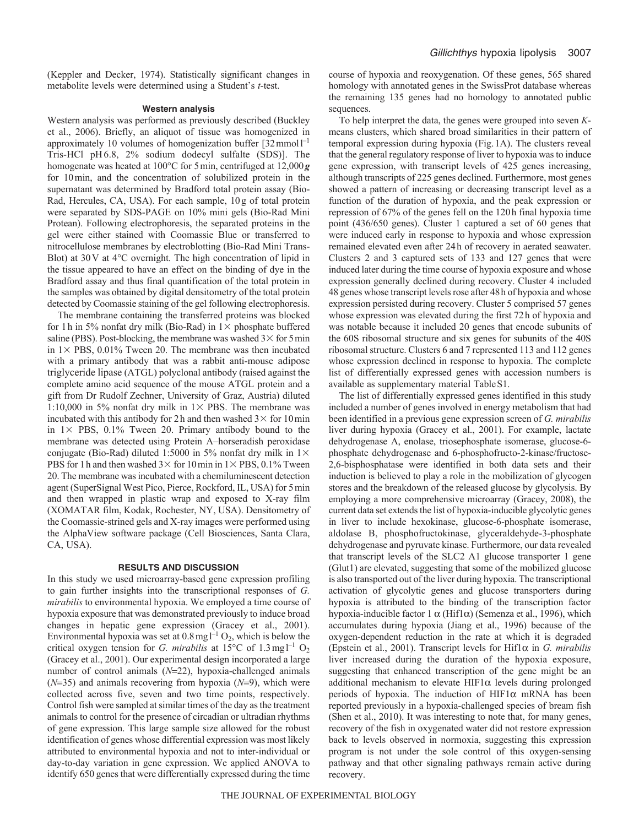(Keppler and Decker, 1974). Statistically significant changes in metabolite levels were determined using a Student's *t*-test.

#### **Western analysis**

Western analysis was performed as previously described (Buckley et al., 2006). Briefly, an aliquot of tissue was homogenized in approximately 10 volumes of homogenization buffer  $[32$  mmol $]^{-1}$ Tris-HCl pH6.8, 2% sodium dodecyl sulfalte (SDS)]. The homogenate was heated at 100°C for 5min, centrifuged at 12,000*g* for 10min, and the concentration of solubilized protein in the supernatant was determined by Bradford total protein assay (Bio-Rad, Hercules, CA, USA). For each sample, 10g of total protein were separated by SDS-PAGE on 10% mini gels (Bio-Rad Mini Protean). Following electrophoresis, the separated proteins in the gel were either stained with Coomassie Blue or transferred to nitrocellulose membranes by electroblotting (Bio-Rad Mini Trans-Blot) at 30V at 4°C overnight. The high concentration of lipid in the tissue appeared to have an effect on the binding of dye in the Bradford assay and thus final quantification of the total protein in the samples was obtained by digital densitometry of the total protein detected by Coomassie staining of the gel following electrophoresis.

The membrane containing the transferred proteins was blocked for 1 h in 5% nonfat dry milk (Bio-Rad) in  $1\times$  phosphate buffered saline (PBS). Post-blocking, the membrane was washed  $3\times$  for 5 min in  $1 \times$  PBS, 0.01% Tween 20. The membrane was then incubated with a primary antibody that was a rabbit anti-mouse adipose triglyceride lipase (ATGL) polyclonal antibody (raised against the complete amino acid sequence of the mouse ATGL protein and a gift from Dr Rudolf Zechner, University of Graz, Austria) diluted 1:10,000 in 5% nonfat dry milk in  $1 \times$  PBS. The membrane was incubated with this antibody for 2 h and then washed  $3 \times$  for 10 min in  $1 \times$  PBS, 0.1% Tween 20. Primary antibody bound to the membrane was detected using Protein A–horseradish peroxidase conjugate (Bio-Rad) diluted 1:5000 in 5% nonfat dry milk in  $1 \times$ PBS for 1 h and then washed  $3 \times$  for 10 min in  $1 \times$  PBS, 0.1% Tween 20. The membrane was incubated with a chemiluminescent detection agent (SuperSignal West Pico, Pierce, Rockford, IL, USA) for 5min and then wrapped in plastic wrap and exposed to X-ray film (XOMATAR film, Kodak, Rochester, NY, USA). Densitometry of the Coomassie-strined gels and X-ray images were performed using the AlphaView software package (Cell Biosciences, Santa Clara, CA, USA).

### **RESULTS AND DISCUSSION**

In this study we used microarray-based gene expression profiling to gain further insights into the transcriptional responses of *G. mirabilis* to environmental hypoxia. We employed a time course of hypoxia exposure that was demonstrated previously to induce broad changes in hepatic gene expression (Gracey et al., 2001). Environmental hypoxia was set at  $0.8 \text{ mg} \, \text{L}^{-1} \, \text{O}_2$ , which is below the critical oxygen tension for *G. mirabilis* at  $15^{\circ}$ C of  $1.3$  mg  $l^{-1}$  O<sub>2</sub> (Gracey et al., 2001). Our experimental design incorporated a large number of control animals (*N*=22), hypoxia-challenged animals  $(N=35)$  and animals recovering from hypoxia  $(N=9)$ , which were collected across five, seven and two time points, respectively. Control fish were sampled at similar times of the day as the treatment animals to control for the presence of circadian or ultradian rhythms of gene expression. This large sample size allowed for the robust identification of genes whose differential expression was most likely attributed to environmental hypoxia and not to inter-individual or day-to-day variation in gene expression. We applied ANOVA to identify 650 genes that were differentially expressed during the time course of hypoxia and reoxygenation. Of these genes, 565 shared homology with annotated genes in the SwissProt database whereas the remaining 135 genes had no homology to annotated public sequences.

To help interpret the data, the genes were grouped into seven *K*means clusters, which shared broad similarities in their pattern of temporal expression during hypoxia (Fig.1A). The clusters reveal that the general regulatory response of liver to hypoxia was to induce gene expression, with transcript levels of 425 genes increasing, although transcripts of 225 genes declined. Furthermore, most genes showed a pattern of increasing or decreasing transcript level as a function of the duration of hypoxia, and the peak expression or repression of 67% of the genes fell on the 120h final hypoxia time point (436/650 genes). Cluster 1 captured a set of 60 genes that were induced early in response to hypoxia and whose expression remained elevated even after 24h of recovery in aerated seawater. Clusters 2 and 3 captured sets of 133 and 127 genes that were induced later during the time course of hypoxia exposure and whose expression generally declined during recovery. Cluster 4 included 48 genes whose transcript levels rose after 48h of hypoxia and whose expression persisted during recovery. Cluster 5 comprised 57 genes whose expression was elevated during the first 72h of hypoxia and was notable because it included 20 genes that encode subunits of the 60S ribosomal structure and six genes for subunits of the 40S ribosomal structure. Clusters 6 and 7 represented 113 and 112 genes whose expression declined in response to hypoxia. The complete list of differentially expressed genes with accession numbers is available as supplementary material TableS1.

The list of differentially expressed genes identified in this study included a number of genes involved in energy metabolism that had been identified in a previous gene expression screen of *G. mirabilis* liver during hypoxia (Gracey et al., 2001). For example, lactate dehydrogenase A, enolase, triosephosphate isomerase, glucose-6 phosphate dehydrogenase and 6-phosphofructo-2-kinase/fructose-2,6-bisphosphatase were identified in both data sets and their induction is believed to play a role in the mobilization of glycogen stores and the breakdown of the released glucose by glycolysis. By employing a more comprehensive microarray (Gracey, 2008), the current data set extends the list of hypoxia-inducible glycolytic genes in liver to include hexokinase, glucose-6-phosphate isomerase, aldolase B, phosphofructokinase, glyceraldehyde-3-phosphate dehydrogenase and pyruvate kinase. Furthermore, our data revealed that transcript levels of the SLC2 A1 glucose transporter 1 gene (Glut1) are elevated, suggesting that some of the mobilized glucose is also transported out of the liver during hypoxia. The transcriptional activation of glycolytic genes and glucose transporters during hypoxia is attributed to the binding of the transcription factor hypoxia-inducible factor 1  $\alpha$  (Hif1 $\alpha$ ) (Semenza et al., 1996), which accumulates during hypoxia (Jiang et al., 1996) because of the oxygen-dependent reduction in the rate at which it is degraded (Epstein et al., 2001). Transcript levels for Hif1 $\alpha$  in *G. mirabilis* liver increased during the duration of the hypoxia exposure, suggesting that enhanced transcription of the gene might be an additional mechanism to elevate  $HIF1\alpha$  levels during prolonged periods of hypoxia. The induction of  $HIF1\alpha$  mRNA has been reported previously in a hypoxia-challenged species of bream fish (Shen et al., 2010). It was interesting to note that, for many genes, recovery of the fish in oxygenated water did not restore expression back to levels observed in normoxia, suggesting this expression program is not under the sole control of this oxygen-sensing pathway and that other signaling pathways remain active during recovery.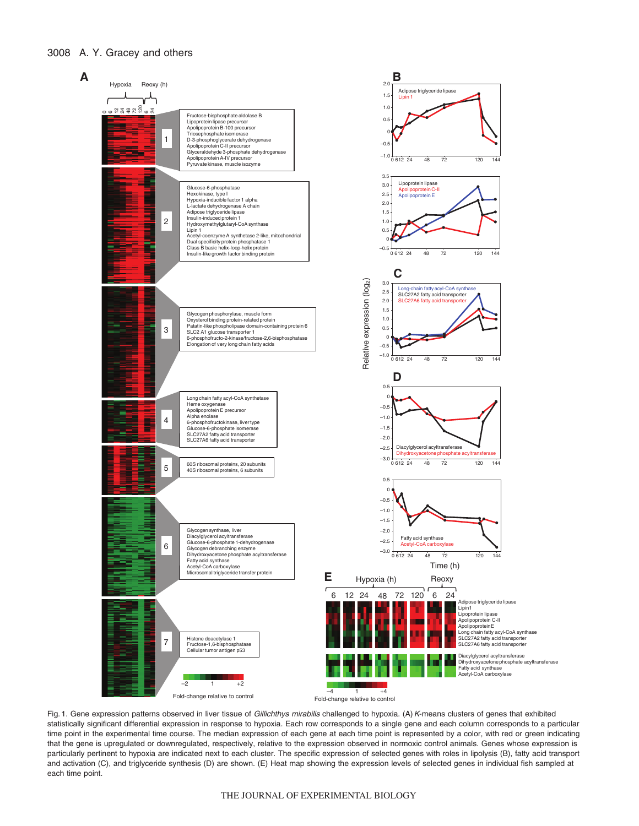# 3008 A. Y. Gracey and others



Fig. 1. Gene expression patterns observed in liver tissue of Gillichthys mirabilis challenged to hypoxia. (A) K-means clusters of genes that exhibited statistically significant differential expression in response to hypoxia. Each row corresponds to a single gene and each column corresponds to a particular time point in the experimental time course. The median expression of each gene at each time point is represented by a color, with red or green indicating that the gene is upregulated or downregulated, respectively, relative to the expression observed in normoxic control animals. Genes whose expression is particularly pertinent to hypoxia are indicated next to each cluster. The specific expression of selected genes with roles in lipolysis (B), fatty acid transport and activation (C), and triglyceride synthesis (D) are shown. (E) Heat map showing the expression levels of selected genes in individual fish sampled at each time point.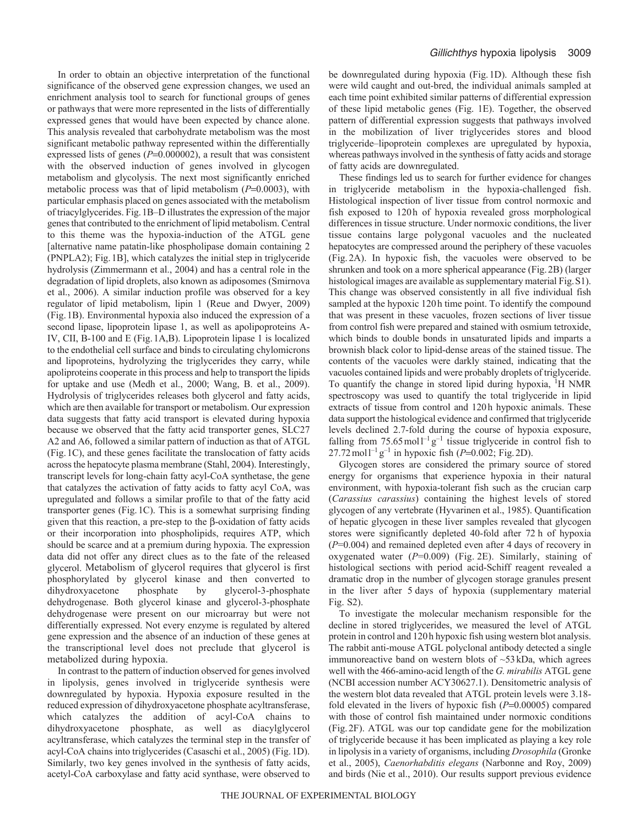In order to obtain an objective interpretation of the functional significance of the observed gene expression changes, we used an enrichment analysis tool to search for functional groups of genes or pathways that were more represented in the lists of differentially expressed genes that would have been expected by chance alone. This analysis revealed that carbohydrate metabolism was the most significant metabolic pathway represented within the differentially expressed lists of genes  $(P=0.000002)$ , a result that was consistent with the observed induction of genes involved in glycogen metabolism and glycolysis. The next most significantly enriched metabolic process was that of lipid metabolism  $(P=0.0003)$ , with particular emphasis placed on genes associated with the metabolism of triacylglycerides. Fig.1B–D illustrates the expression of the major genes that contributed to the enrichment of lipid metabolism. Central to this theme was the hypoxia-induction of the ATGL gene [alternative name patatin-like phospholipase domain containing 2 (PNPLA2); Fig.1B], which catalyzes the initial step in triglyceride hydrolysis (Zimmermann et al., 2004) and has a central role in the degradation of lipid droplets, also known as adiposomes (Smirnova et al., 2006). A similar induction profile was observed for a key regulator of lipid metabolism, lipin 1 (Reue and Dwyer, 2009) (Fig.1B). Environmental hypoxia also induced the expression of a second lipase, lipoprotein lipase 1, as well as apolipoproteins A-IV, CII, B-100 and E (Fig.1A,B). Lipoprotein lipase 1 is localized to the endothelial cell surface and binds to circulating chylomicrons and lipoproteins, hydrolyzing the triglycerides they carry, while apoliproteins cooperate in this process and help to transport the lipids for uptake and use (Medh et al., 2000; Wang, B. et al., 2009). Hydrolysis of triglycerides releases both glycerol and fatty acids, which are then available for transport or metabolism. Our expression data suggests that fatty acid transport is elevated during hypoxia because we observed that the fatty acid transporter genes, SLC27 A2 and A6, followed a similar pattern of induction as that of ATGL (Fig.1C), and these genes facilitate the translocation of fatty acids across the hepatocyte plasma membrane (Stahl, 2004). Interestingly, transcript levels for long-chain fatty acyl-CoA synthetase, the gene that catalyzes the activation of fatty acids to fatty acyl CoA, was upregulated and follows a similar profile to that of the fatty acid transporter genes (Fig.1C). This is a somewhat surprising finding given that this reaction, a pre-step to the  $\beta$ -oxidation of fatty acids or their incorporation into phospholipids, requires ATP, which should be scarce and at a premium during hypoxia. The expression data did not offer any direct clues as to the fate of the released glycerol. Metabolism of glycerol requires that glycerol is first phosphorylated by glycerol kinase and then converted to dihydroxyacetone phosphate by glycerol-3-phosphate dehydrogenase. Both glycerol kinase and glycerol-3-phosphate dehydrogenase were present on our microarray but were not differentially expressed. Not every enzyme is regulated by altered gene expression and the absence of an induction of these genes at the transcriptional level does not preclude that glycerol is metabolized during hypoxia.

In contrast to the pattern of induction observed for genes involved in lipolysis, genes involved in triglyceride synthesis were downregulated by hypoxia. Hypoxia exposure resulted in the reduced expression of dihydroxyacetone phosphate acyltransferase, which catalyzes the addition of acyl-CoA chains to dihydroxyacetone phosphate, as well as diacylglycerol acyltransferase, which catalyzes the terminal step in the transfer of acyl-CoA chains into triglycerides (Casaschi et al., 2005) (Fig.1D). Similarly, two key genes involved in the synthesis of fatty acids, acetyl-CoA carboxylase and fatty acid synthase, were observed to be downregulated during hypoxia (Fig.1D). Although these fish were wild caught and out-bred, the individual animals sampled at each time point exhibited similar patterns of differential expression of these lipid metabolic genes (Fig. 1E). Together, the observed pattern of differential expression suggests that pathways involved in the mobilization of liver triglycerides stores and blood triglyceride–lipoprotein complexes are upregulated by hypoxia, whereas pathways involved in the synthesis of fatty acids and storage of fatty acids are downregulated.

These findings led us to search for further evidence for changes in triglyceride metabolism in the hypoxia-challenged fish. Histological inspection of liver tissue from control normoxic and fish exposed to 120h of hypoxia revealed gross morphological differences in tissue structure. Under normoxic conditions, the liver tissue contains large polygonal vacuoles and the nucleated hepatocytes are compressed around the periphery of these vacuoles (Fig. 2A). In hypoxic fish, the vacuoles were observed to be shrunken and took on a more spherical appearance (Fig.2B) (larger histological images are available as supplementary material Fig.S1). This change was observed consistently in all five individual fish sampled at the hypoxic 120h time point. To identify the compound that was present in these vacuoles, frozen sections of liver tissue from control fish were prepared and stained with osmium tetroxide, which binds to double bonds in unsaturated lipids and imparts a brownish black color to lipid-dense areas of the stained tissue. The contents of the vacuoles were darkly stained, indicating that the vacuoles contained lipids and were probably droplets of triglyceride. To quantify the change in stored lipid during hypoxia, <sup>1</sup>H NMR spectroscopy was used to quantify the total triglyceride in lipid extracts of tissue from control and 120h hypoxic animals. These data support the histological evidence and confirmed that triglyceride levels declined 2.7-fold during the course of hypoxia exposure, falling from  $75.65 \text{ mol}^{-1}\text{ g}^{-1}$  tissue triglyceride in control fish to  $27.72 \text{ mol}^{-1}\text{ g}^{-1}$  in hypoxic fish (*P*=0.002; Fig.2D).

Glycogen stores are considered the primary source of stored energy for organisms that experience hypoxia in their natural environment, with hypoxia-tolerant fish such as the crucian carp (*Carassius carassius*) containing the highest levels of stored glycogen of any vertebrate (Hyvarinen et al., 1985). Quantification of hepatic glycogen in these liver samples revealed that glycogen stores were significantly depleted 40-fold after 72 h of hypoxia (*P*=0.004) and remained depleted even after 4 days of recovery in oxygenated water (*P*=0.009) (Fig. 2E). Similarly, staining of histological sections with period acid-Schiff reagent revealed a dramatic drop in the number of glycogen storage granules present in the liver after 5 days of hypoxia (supplementary material Fig. S2).

To investigate the molecular mechanism responsible for the decline in stored triglycerides, we measured the level of ATGL protein in control and 120h hypoxic fish using western blot analysis. The rabbit anti-mouse ATGL polyclonal antibody detected a single immunoreactive band on western blots of ~53kDa, which agrees well with the 466-amino-acid length of the *G. mirabilis* ATGL gene (NCBI accession number ACY30627.1). Densitometric analysis of the western blot data revealed that ATGL protein levels were 3.18 fold elevated in the livers of hypoxic fish  $(P=0.00005)$  compared with those of control fish maintained under normoxic conditions (Fig.2F). ATGL was our top candidate gene for the mobilization of triglyceride because it has been implicated as playing a key role in lipolysis in a variety of organisms, including *Drosophila* (Gronke et al., 2005), *Caenorhabditis elegans* (Narbonne and Roy, 2009) and birds (Nie et al., 2010). Our results support previous evidence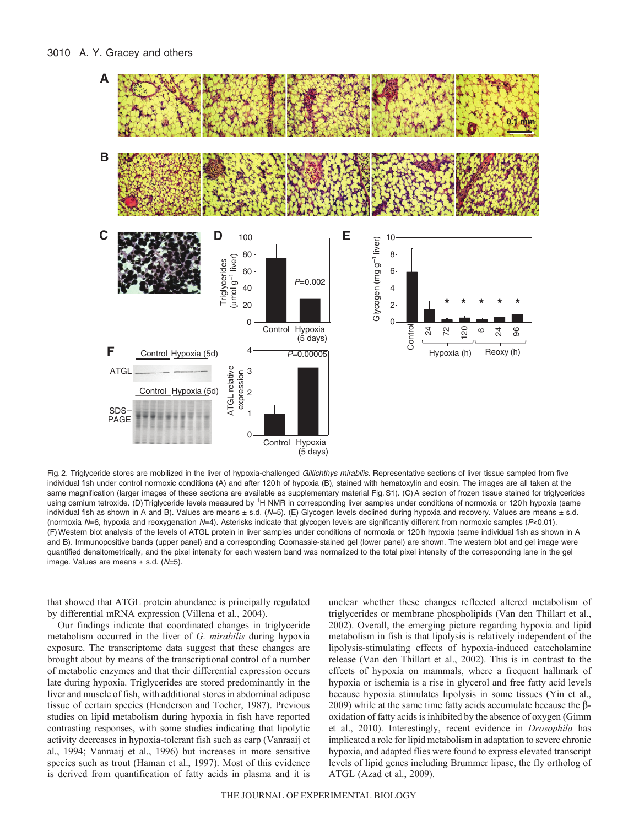

Fig. 2. Triglyceride stores are mobilized in the liver of hypoxia-challenged Gillichthys mirabilis. Representative sections of liver tissue sampled from five individual fish under control normoxic conditions (A) and after 120 h of hypoxia (B), stained with hematoxylin and eosin. The images are all taken at the same magnification (larger images of these sections are available as supplementary material Fig.S1). (C) A section of frozen tissue stained for triglycerides using osmium tetroxide. (D) Triglyceride levels measured by <sup>1</sup>H NMR in corresponding liver samples under conditions of normoxia or 120 h hypoxia (same individual fish as shown in A and B). Values are means  $\pm$  s.d. (N=5). (E) Glycogen levels declined during hypoxia and recovery. Values are means  $\pm$  s.d. (normoxia N=6, hypoxia and reoxygenation N=4). Asterisks indicate that glycogen levels are significantly different from normoxic samples (P<0.01). (F)Western blot analysis of the levels of ATGL protein in liver samples under conditions of normoxia or 120 h hypoxia (same individual fish as shown in A and B). Immunopositive bands (upper panel) and a corresponding Coomassie-stained gel (lower panel) are shown. The western blot and gel image were quantified densitometrically, and the pixel intensity for each western band was normalized to the total pixel intensity of the corresponding lane in the gel image. Values are means  $\pm$  s.d. ( $N=5$ ).

that showed that ATGL protein abundance is principally regulated by differential mRNA expression (Villena et al., 2004).

Our findings indicate that coordinated changes in triglyceride metabolism occurred in the liver of *G. mirabilis* during hypoxia exposure. The transcriptome data suggest that these changes are brought about by means of the transcriptional control of a number of metabolic enzymes and that their differential expression occurs late during hypoxia. Triglycerides are stored predominantly in the liver and muscle of fish, with additional stores in abdominal adipose tissue of certain species (Henderson and Tocher, 1987). Previous studies on lipid metabolism during hypoxia in fish have reported contrasting responses, with some studies indicating that lipolytic activity decreases in hypoxia-tolerant fish such as carp (Vanraaij et al., 1994; Vanraaij et al., 1996) but increases in more sensitive species such as trout (Haman et al., 1997). Most of this evidence is derived from quantification of fatty acids in plasma and it is unclear whether these changes reflected altered metabolism of triglycerides or membrane phospholipids (Van den Thillart et al., 2002). Overall, the emerging picture regarding hypoxia and lipid metabolism in fish is that lipolysis is relatively independent of the lipolysis-stimulating effects of hypoxia-induced catecholamine release (Van den Thillart et al., 2002). This is in contrast to the effects of hypoxia on mammals, where a frequent hallmark of hypoxia or ischemia is a rise in glycerol and free fatty acid levels because hypoxia stimulates lipolysis in some tissues (Yin et al., 2009) while at the same time fatty acids accumulate because the  $\beta$ oxidation of fatty acids is inhibited by the absence of oxygen (Gimm et al., 2010). Interestingly, recent evidence in *Drosophila* has implicated a role for lipid metabolism in adaptation to severe chronic hypoxia, and adapted flies were found to express elevated transcript levels of lipid genes including Brummer lipase, the fly ortholog of ATGL (Azad et al., 2009).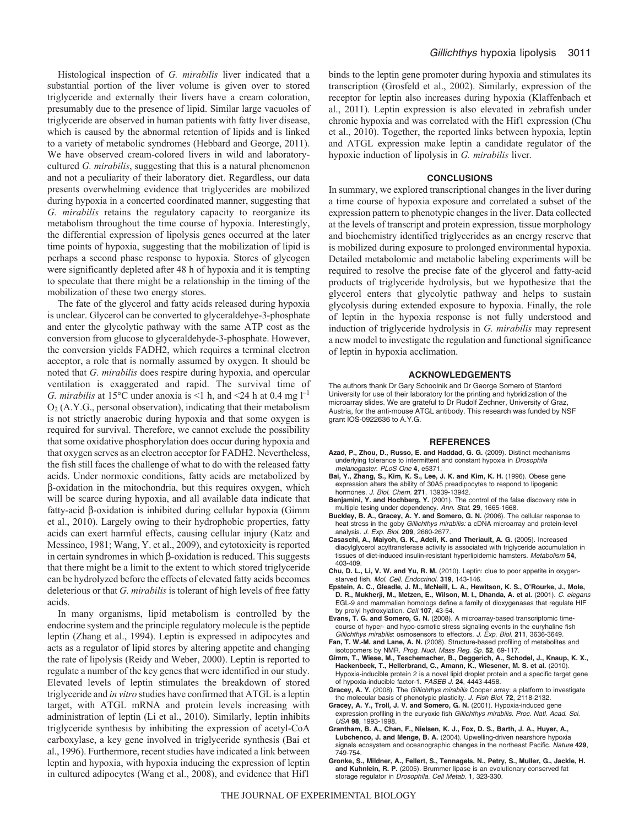Histological inspection of *G. mirabilis* liver indicated that a substantial portion of the liver volume is given over to stored triglyceride and externally their livers have a cream coloration, presumably due to the presence of lipid. Similar large vacuoles of triglyceride are observed in human patients with fatty liver disease, which is caused by the abnormal retention of lipids and is linked to a variety of metabolic syndromes (Hebbard and George, 2011). We have observed cream-colored livers in wild and laboratorycultured *G. mirabilis*, suggesting that this is a natural phenomenon and not a peculiarity of their laboratory diet. Regardless, our data presents overwhelming evidence that triglycerides are mobilized during hypoxia in a concerted coordinated manner, suggesting that *G. mirabilis* retains the regulatory capacity to reorganize its metabolism throughout the time course of hypoxia. Interestingly, the differential expression of lipolysis genes occurred at the later time points of hypoxia, suggesting that the mobilization of lipid is perhaps a second phase response to hypoxia. Stores of glycogen were significantly depleted after 48 h of hypoxia and it is tempting to speculate that there might be a relationship in the timing of the mobilization of these two energy stores.

The fate of the glycerol and fatty acids released during hypoxia is unclear. Glycerol can be converted to glyceraldehye-3-phosphate and enter the glycolytic pathway with the same ATP cost as the conversion from glucose to glyceraldehyde-3-phosphate. However, the conversion yields FADH2, which requires a terminal electron acceptor, a role that is normally assumed by oxygen. It should be noted that *G. mirabilis* does respire during hypoxia, and opercular ventilation is exaggerated and rapid. The survival time of *G. mirabilis* at 15<sup>o</sup>C under anoxia is <1 h, and <24 h at 0.4 mg  $l^{-1}$  $O<sub>2</sub>$  (A.Y.G., personal observation), indicating that their metabolism is not strictly anaerobic during hypoxia and that some oxygen is required for survival. Therefore, we cannot exclude the possibility that some oxidative phosphorylation does occur during hypoxia and that oxygen serves as an electron acceptor for FADH2. Nevertheless, the fish still faces the challenge of what to do with the released fatty acids. Under normoxic conditions, fatty acids are metabolized by -oxidation in the mitochondria, but this requires oxygen, which will be scarce during hypoxia, and all available data indicate that fatty-acid  $\beta$ -oxidation is inhibited during cellular hypoxia (Gimm et al., 2010). Largely owing to their hydrophobic properties, fatty acids can exert harmful effects, causing cellular injury (Katz and Messineo, 1981; Wang, Y. et al., 2009), and cytotoxicity is reported in certain syndromes in which  $\beta$ -oxidation is reduced. This suggests that there might be a limit to the extent to which stored triglyceride can be hydrolyzed before the effects of elevated fatty acids becomes deleterious or that *G. mirabilis* is tolerant of high levels of free fatty acids.

In many organisms, lipid metabolism is controlled by the endocrine system and the principle regulatory molecule is the peptide leptin (Zhang et al., 1994). Leptin is expressed in adipocytes and acts as a regulator of lipid stores by altering appetite and changing the rate of lipolysis (Reidy and Weber, 2000). Leptin is reported to regulate a number of the key genes that were identified in our study. Elevated levels of leptin stimulates the breakdown of stored triglyceride and *in vitro* studies have confirmed that ATGL is a leptin target, with ATGL mRNA and protein levels increasing with administration of leptin (Li et al., 2010). Similarly, leptin inhibits triglyceride synthesis by inhibiting the expression of acetyl-CoA carboxylase, a key gene involved in triglyceride synthesis (Bai et al., 1996). Furthermore, recent studies have indicated a link between leptin and hypoxia, with hypoxia inducing the expression of leptin in cultured adipocytes (Wang et al., 2008), and evidence that Hif1

binds to the leptin gene promoter during hypoxia and stimulates its transcription (Grosfeld et al., 2002). Similarly, expression of the receptor for leptin also increases during hypoxia (Klaffenbach et al., 2011). Leptin expression is also elevated in zebrafish under chronic hypoxia and was correlated with the Hif1 expression (Chu et al., 2010). Together, the reported links between hypoxia, leptin and ATGL expression make leptin a candidate regulator of the hypoxic induction of lipolysis in *G. mirabilis* liver.

#### **CONCLUSIONS**

In summary, we explored transcriptional changes in the liver during a time course of hypoxia exposure and correlated a subset of the expression pattern to phenotypic changes in the liver. Data collected at the levels of transcript and protein expression, tissue morphology and biochemistry identified triglycerides as an energy reserve that is mobilized during exposure to prolonged environmental hypoxia. Detailed metabolomic and metabolic labeling experiments will be required to resolve the precise fate of the glycerol and fatty-acid products of triglyceride hydrolysis, but we hypothesize that the glycerol enters that glycolytic pathway and helps to sustain glycolysis during extended exposure to hypoxia. Finally, the role of leptin in the hypoxia response is not fully understood and induction of triglyceride hydrolysis in *G. mirabilis* may represent a new model to investigate the regulation and functional significance of leptin in hypoxia acclimation.

#### **ACKNOWLEDGEMENTS**

The authors thank Dr Gary Schoolnik and Dr George Somero of Stanford University for use of their laboratory for the printing and hybridization of the microarray slides. We are grateful to Dr Rudolf Zechner, University of Graz, Austria, for the anti-mouse ATGL antibody. This research was funded by NSF grant IOS-0922636 to A.Y.G.

#### **REFERENCES**

- **Azad, P., Zhou, D., Russo, E. and Haddad, G. G.** (2009). Distinct mechanisms underlying tolerance to intermittent and constant hypoxia in *Drosophila* melanogaster. PLoS One **4**, e5371.
- **Bai, Y., Zhang, S., Kim, K. S., Lee, J. K. and Kim, K. H.** (1996). Obese gene expression alters the ability of 30A5 preadipocytes to respond to lipogenic hormones. J. Biol. Chem. **271**, 13939-13942.
- **Benjamini, Y. and Hochberg, Y.** (2001). The control of the false discovery rate in multiple tesing under dependency. Ann. Stat. **29**, 1665-1668.
- **Buckley, B. A., Gracey, A. Y. and Somero, G. N.** (2006). The cellular response to heat stress in the goby Gillichthys mirabilis: a cDNA microarray and protein-level analysis. J. Exp. Biol. **209**, 2660-2677.
- **Casaschi, A., Maiyoh, G. K., Adeli, K. and Theriault, A. G.** (2005). Increased diacylglycerol acyltransferase activity is associated with triglyceride accumulation in tissues of diet-induced insulin-resistant hyperlipidemic hamsters. Metabolism **54**, 403-409.
- **Chu, D. L., Li, V. W. and Yu, R. M.** (2010). Leptin: clue to poor appetite in oxygenstarved fish. Mol. Cell. Endocrinol. **319**, 143-146.
- **Epstein, A. C., Gleadle, J. M., McNeill, L. A., Hewitson, K. S., O'Rourke, J., Mole, D. R., Mukherji, M., Metzen, E., Wilson, M. I., Dhanda, A. et al.** (2001). C. elegans EGL-9 and mammalian homologs define a family of dioxygenases that regulate HIF by prolyl hydroxylation. Cell **107**, 43-54.
- **Evans, T. G. and Somero, G. N.** (2008). A microarray-based transcriptomic timecourse of hyper- and hypo-osmotic stress signaling events in the euryhaline fish Gillichthys mirabilis: osmosensors to effectors. J. Exp. Biol. **211**, 3636-3649.
- **Fan, T. W.-M. and Lane, A. N.** (2008). Structure-based profiling of metabolites and isotopomers by NMR. Prog. Nucl. Mass Reg. Sp. **52**, 69-117.
- **Gimm, T., Wiese, M., Teschemacher, B., Deggerich, A., Schodel, J., Knaup, K. X., Hackenbeck, T., Hellerbrand, C., Amann, K., Wiesener, M. S. et al.** (2010). Hypoxia-inducible protein 2 is a novel lipid droplet protein and a specific target gene of hypoxia-inducible factor-1. FASEB J. **24**, 4443-4458.
- **Gracey, A. Y.** (2008). The Gillichthys mirabilis Cooper array: a platform to investigate the molecular basis of phenotypic plasticity. J. Fish Biol. **72**, 2118-2132.
- **Gracey, A. Y., Troll, J. V. and Somero, G. N.** (2001). Hypoxia-induced gene expression profiling in the euryoxic fish Gillichthys mirabilis. Proc. Natl. Acad. Sci. USA **98**, 1993-1998.
- **Grantham, B. A., Chan, F., Nielsen, K. J., Fox, D. S., Barth, J. A., Huyer, A., Lubchenco, J. and Menge, B. A.** (2004). Upwelling-driven nearshore hypoxia signals ecosystem and oceanographic changes in the northeast Pacific. Nature **429**, 749-754.
- **Gronke, S., Mildner, A., Fellert, S., Tennagels, N., Petry, S., Muller, G., Jackle, H. and Kuhnlein, R. P.** (2005). Brummer lipase is an evolutionary conserved fat storage regulator in Drosophila. Cell Metab. **1**, 323-330.